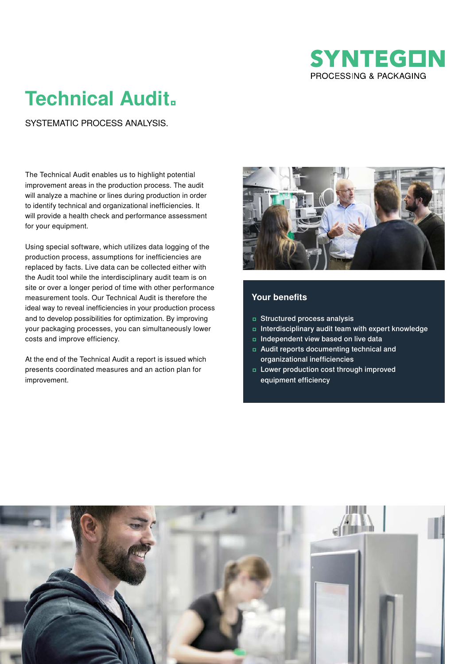

## **Technical Audit.**

SYSTEMATIC PROCESS ANALYSIS.

The Technical Audit enables us to highlight potential improvement areas in the production process. The audit will analyze a machine or lines during production in order to identify technical and organizational inefficiencies. It will provide a health check and performance assessment for your equipment.

Using special software, which utilizes data logging of the production process, assumptions for inefficiencies are replaced by facts. Live data can be collected either with the Audit tool while the interdisciplinary audit team is on site or over a longer period of time with other performance measurement tools. Our Technical Audit is therefore the ideal way to reveal inefficiencies in your production process and to develop possibilities for optimization. By improving your packaging processes, you can simultaneously lower costs and improve efficiency.

At the end of the Technical Audit a report is issued which presents coordinated measures and an action plan for improvement.



## **Your benefits**

- ʨ Structured process analysis
- ʨ Interdisciplinary audit team with expert knowledge
- ʨ Independent view based on live data
- ʨ Audit reports documenting technical and organizational inefficiencies
- ʨ Lower production cost through improved equipment efficiency